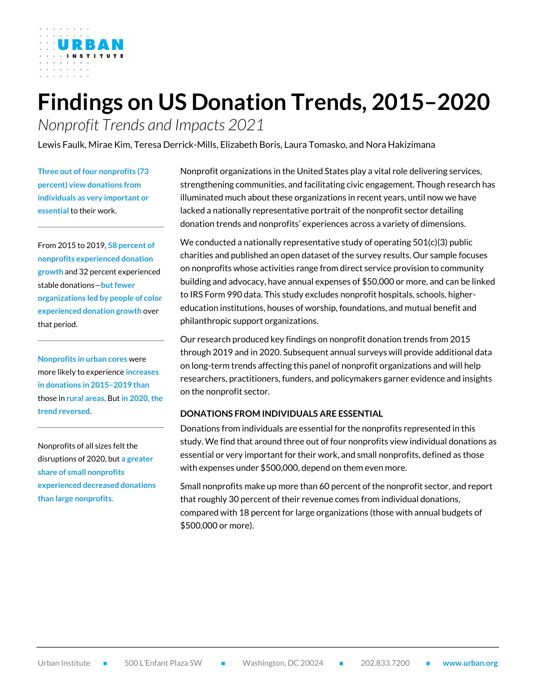# **Findings on US Donation Trends, 2015–2020**

*Nonprofit Trends and Impacts 2021*

Lewis Faulk, Mirae Kim, Teresa Derrick-Mills, Elizabeth Boris, Laura Tomasko, and Nora Hakizimana

**Three out of four nonprofits (73 percent) view donations from individuals as very important or essential** to their work.

From 2015 to 2019, **58 percent of nonprofits experienced donation growth** and 32 percent experienced stable donations-but fewer **organizations led by people of color experienced donation growth** over that period.

**Nonprofits in urban cores** were more likely to experience **increases in donations in 2015–2019 than** those in **rural areas**. But **in 2020, the trend reversed**.

Nonprofits of all sizes felt the disruptions of 2020, but **a greater share of small nonprofits experienced decreased donations than large nonprofits.**

Nonprofit organizations in the United States play a vital role delivering services, strengthening communities, and facilitating civic engagement. Though research has illuminated much about these organizations in recent years, until now we have lacked a nationally representative portrait of the nonprofit sector detailing donation trends and nonprofits' experiences across a variety of dimensions.

We conducted a nationally representative study of operating  $501(c)(3)$  public charities and published an open dataset of the survey results. Our sample focuses on nonprofits whose activities range from direct service provision to community building and advocacy, have annual expenses of \$50,000 or more, and can be linked to IRS Form 990 data. This study excludes nonprofit hospitals, schools, highereducation institutions, houses of worship, foundations, and mutual benefit and philanthropic support organizations.

Our research produced key findings on nonprofit donation trends from 2015 through 2019 and in 2020. Subsequent annual surveys will provide additional data on long-term trends affecting this panel of nonprofit organizations and will help researchers, practitioners, funders, and policymakers garner evidence and insights on the nonprofit sector.

#### **DONATIONS FROM INDIVIDUALS ARE ESSENTIAL**

Donations from individuals are essential for the nonprofits represented in this study. We find that around three out of four nonprofits view individual donations as essential or very important for their work, and small nonprofits, defined as those with expenses under \$500,000, depend on them even more.

Small nonprofits make up more than 60 percent of the nonprofit sector, and report that roughly 30 percent of their revenue comes from individual donations, compared with 18 percent for large organizations (those with annual budgets of \$500,000 or more).